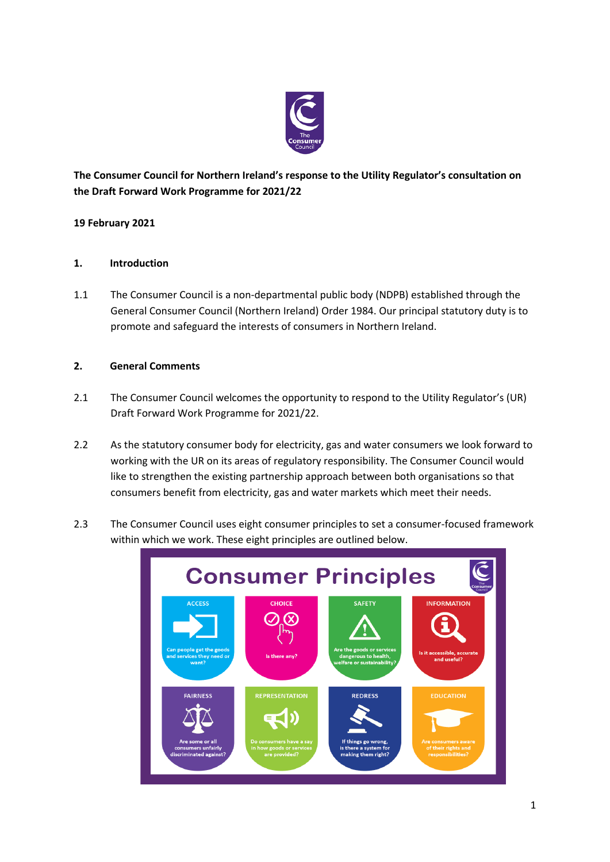

**The Consumer Council for Northern Ireland's response to the Utility Regulator's consultation on the Draft Forward Work Programme for 2021/22**

# **19 February 2021**

### **1. Introduction**

1.1 The Consumer Council is a non-departmental public body (NDPB) established through the General Consumer Council (Northern Ireland) Order 1984. Our principal statutory duty is to promote and safeguard the interests of consumers in Northern Ireland.

### **2. General Comments**

- 2.1 The Consumer Council welcomes the opportunity to respond to the Utility Regulator's (UR) Draft Forward Work Programme for 2021/22.
- 2.2 As the statutory consumer body for electricity, gas and water consumers we look forward to working with the UR on its areas of regulatory responsibility. The Consumer Council would like to strengthen the existing partnership approach between both organisations so that consumers benefit from electricity, gas and water markets which meet their needs.
- 2.3 The Consumer Council uses eight consumer principles to set a consumer-focused framework within which we work. These eight principles are outlined below.

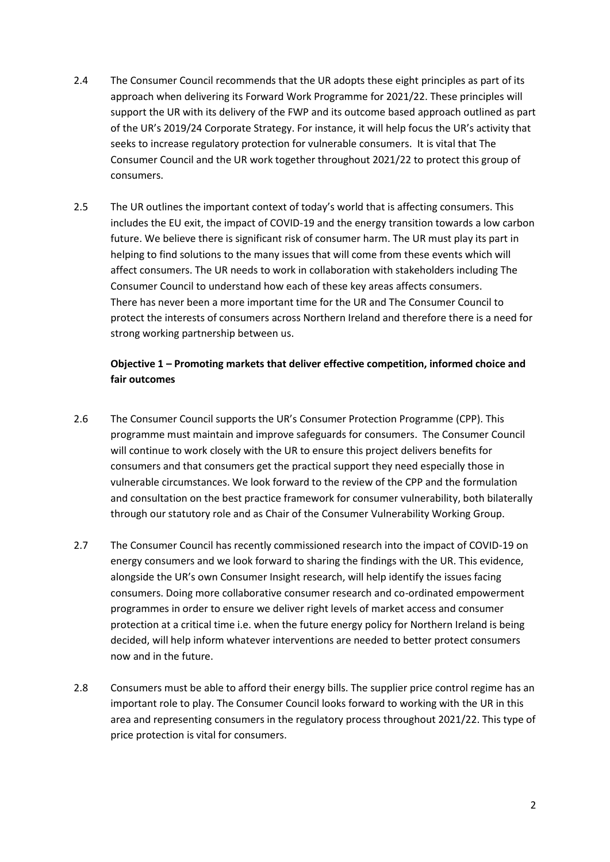- 2.4 The Consumer Council recommends that the UR adopts these eight principles as part of its approach when delivering its Forward Work Programme for 2021/22. These principles will support the UR with its delivery of the FWP and its outcome based approach outlined as part of the UR's 2019/24 Corporate Strategy. For instance, it will help focus the UR's activity that seeks to increase regulatory protection for vulnerable consumers. It is vital that The Consumer Council and the UR work together throughout 2021/22 to protect this group of consumers.
- 2.5 The UR outlines the important context of today's world that is affecting consumers. This includes the EU exit, the impact of COVID-19 and the energy transition towards a low carbon future. We believe there is significant risk of consumer harm. The UR must play its part in helping to find solutions to the many issues that will come from these events which will affect consumers. The UR needs to work in collaboration with stakeholders including The Consumer Council to understand how each of these key areas affects consumers. There has never been a more important time for the UR and The Consumer Council to protect the interests of consumers across Northern Ireland and therefore there is a need for strong working partnership between us.

# **Objective 1 – Promoting markets that deliver effective competition, informed choice and fair outcomes**

- 2.6 The Consumer Council supports the UR's Consumer Protection Programme (CPP). This programme must maintain and improve safeguards for consumers. The Consumer Council will continue to work closely with the UR to ensure this project delivers benefits for consumers and that consumers get the practical support they need especially those in vulnerable circumstances. We look forward to the review of the CPP and the formulation and consultation on the best practice framework for consumer vulnerability, both bilaterally through our statutory role and as Chair of the Consumer Vulnerability Working Group.
- 2.7 The Consumer Council has recently commissioned research into the impact of COVID-19 on energy consumers and we look forward to sharing the findings with the UR. This evidence, alongside the UR's own Consumer Insight research, will help identify the issues facing consumers. Doing more collaborative consumer research and co-ordinated empowerment programmes in order to ensure we deliver right levels of market access and consumer protection at a critical time i.e. when the future energy policy for Northern Ireland is being decided, will help inform whatever interventions are needed to better protect consumers now and in the future.
- 2.8 Consumers must be able to afford their energy bills. The supplier price control regime has an important role to play. The Consumer Council looks forward to working with the UR in this area and representing consumers in the regulatory process throughout 2021/22. This type of price protection is vital for consumers.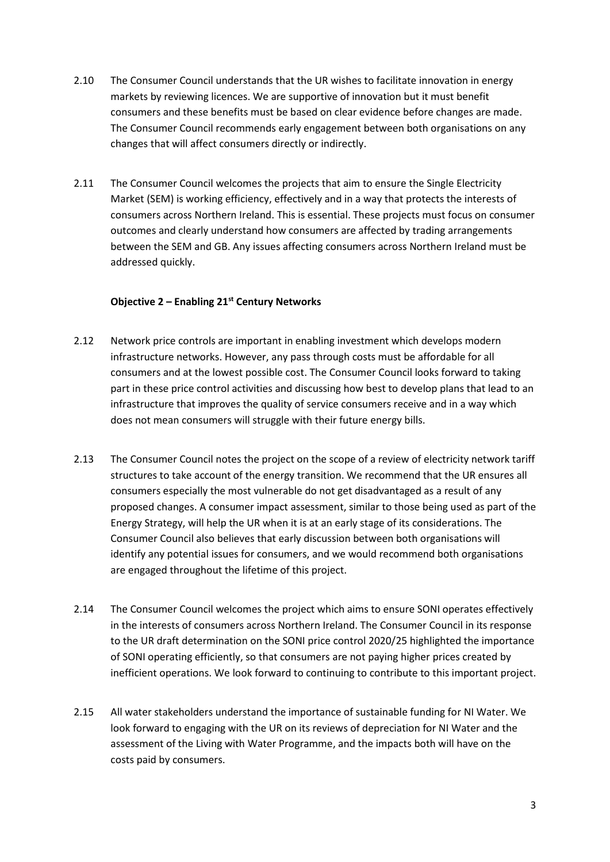- 2.10 The Consumer Council understands that the UR wishes to facilitate innovation in energy markets by reviewing licences. We are supportive of innovation but it must benefit consumers and these benefits must be based on clear evidence before changes are made. The Consumer Council recommends early engagement between both organisations on any changes that will affect consumers directly or indirectly.
- 2.11 The Consumer Council welcomes the projects that aim to ensure the Single Electricity Market (SEM) is working efficiency, effectively and in a way that protects the interests of consumers across Northern Ireland. This is essential. These projects must focus on consumer outcomes and clearly understand how consumers are affected by trading arrangements between the SEM and GB. Any issues affecting consumers across Northern Ireland must be addressed quickly.

### **Objective 2 – Enabling 21st Century Networks**

- 2.12 Network price controls are important in enabling investment which develops modern infrastructure networks. However, any pass through costs must be affordable for all consumers and at the lowest possible cost. The Consumer Council looks forward to taking part in these price control activities and discussing how best to develop plans that lead to an infrastructure that improves the quality of service consumers receive and in a way which does not mean consumers will struggle with their future energy bills.
- 2.13 The Consumer Council notes the project on the scope of a review of electricity network tariff structures to take account of the energy transition. We recommend that the UR ensures all consumers especially the most vulnerable do not get disadvantaged as a result of any proposed changes. A consumer impact assessment, similar to those being used as part of the Energy Strategy, will help the UR when it is at an early stage of its considerations. The Consumer Council also believes that early discussion between both organisations will identify any potential issues for consumers, and we would recommend both organisations are engaged throughout the lifetime of this project.
- 2.14 The Consumer Council welcomes the project which aims to ensure SONI operates effectively in the interests of consumers across Northern Ireland. The Consumer Council in its response to the UR draft determination on the SONI price control 2020/25 highlighted the importance of SONI operating efficiently, so that consumers are not paying higher prices created by inefficient operations. We look forward to continuing to contribute to this important project.
- 2.15 All water stakeholders understand the importance of sustainable funding for NI Water. We look forward to engaging with the UR on its reviews of depreciation for NI Water and the assessment of the Living with Water Programme, and the impacts both will have on the costs paid by consumers.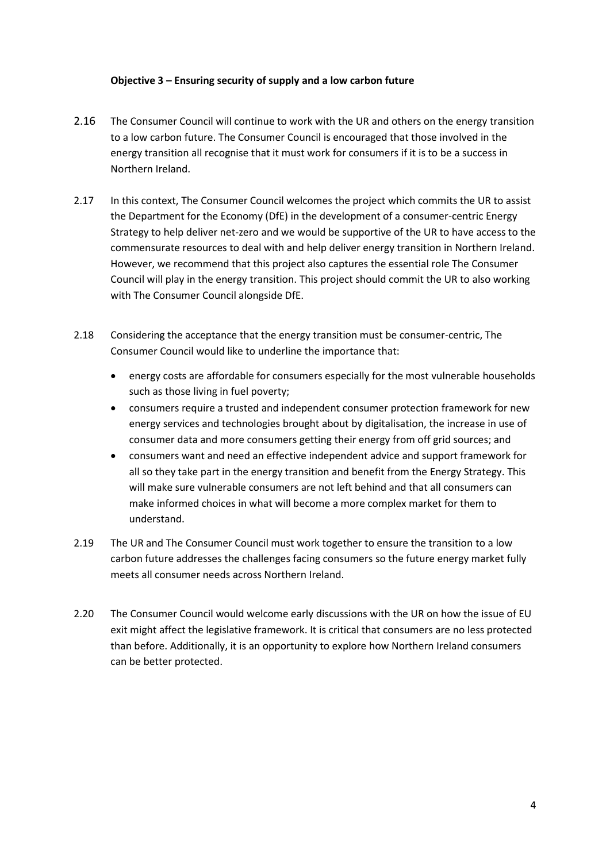### **Objective 3 – Ensuring security of supply and a low carbon future**

- 2.16 The Consumer Council will continue to work with the UR and others on the energy transition to a low carbon future. The Consumer Council is encouraged that those involved in the energy transition all recognise that it must work for consumers if it is to be a success in Northern Ireland.
- 2.17 In this context, The Consumer Council welcomes the project which commits the UR to assist the Department for the Economy (DfE) in the development of a consumer-centric Energy Strategy to help deliver net-zero and we would be supportive of the UR to have access to the commensurate resources to deal with and help deliver energy transition in Northern Ireland. However, we recommend that this project also captures the essential role The Consumer Council will play in the energy transition. This project should commit the UR to also working with The Consumer Council alongside DfE.
- 2.18 Considering the acceptance that the energy transition must be consumer-centric, The Consumer Council would like to underline the importance that:
	- energy costs are affordable for consumers especially for the most vulnerable households such as those living in fuel poverty;
	- consumers require a trusted and independent consumer protection framework for new energy services and technologies brought about by digitalisation, the increase in use of consumer data and more consumers getting their energy from off grid sources; and
	- consumers want and need an effective independent advice and support framework for all so they take part in the energy transition and benefit from the Energy Strategy. This will make sure vulnerable consumers are not left behind and that all consumers can make informed choices in what will become a more complex market for them to understand.
- 2.19 The UR and The Consumer Council must work together to ensure the transition to a low carbon future addresses the challenges facing consumers so the future energy market fully meets all consumer needs across Northern Ireland.
- 2.20 The Consumer Council would welcome early discussions with the UR on how the issue of EU exit might affect the legislative framework. It is critical that consumers are no less protected than before. Additionally, it is an opportunity to explore how Northern Ireland consumers can be better protected.